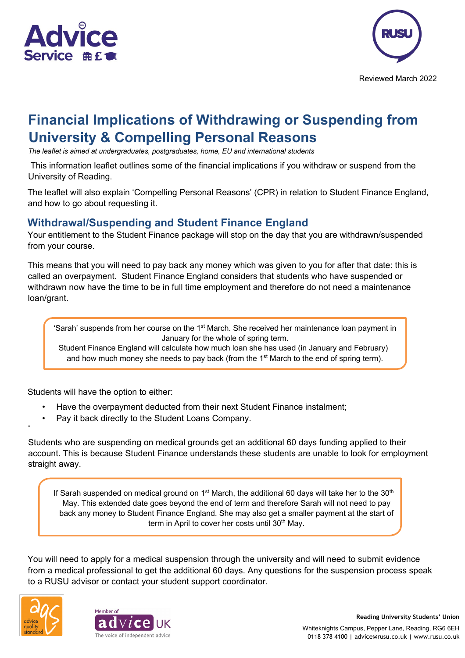



Reviewed March 2022

# **Financial Implications of Withdrawing or Suspending from University & Compelling Personal Reasons**

*The leaflet is aimed at undergraduates, postgraduates, home, EU and international students*

This information leaflet outlines some of the financial implications if you withdraw or suspend from the University of Reading.

The leaflet will also explain 'Compelling Personal Reasons' (CPR) in relation to Student Finance England, and how to go about requesting it.

#### **Withdrawal/Suspending and Student Finance England**

Your entitlement to the Student Finance package will stop on the day that you are withdrawn/suspended from your course.

This means that you will need to pay back any money which was given to you for after that date: this is called an overpayment. Student Finance England considers that students who have suspended or withdrawn now have the time to be in full time employment and therefore do not need a maintenance loan/grant.

'Sarah' suspends from her course on the 1<sup>st</sup> March. She received her maintenance loan payment in January for the whole of spring term.

Student Finance England will calculate how much loan she has used (in January and February) and how much money she needs to pay back (from the 1<sup>st</sup> March to the end of spring term).

Students will have the option to either:

- Have the overpayment deducted from their next Student Finance instalment;
- Pay it back directly to the Student Loans Company.

Students who are suspending on medical grounds get an additional 60 days funding applied to their account. This is because Student Finance understands these students are unable to look for employment straight away.

If Sarah suspended on medical ground on  $1<sup>st</sup>$  March, the additional 60 days will take her to the 30<sup>th</sup> May. This extended date goes beyond the end of term and therefore Sarah will not need to pay back any money to Student Finance England. She may also get a smaller payment at the start of term in April to cover her costs until 30<sup>th</sup> May.

You will need to apply for a medical suspension through the university and will need to submit evidence from a medical professional to get the additional 60 days. Any questions for the suspension process speak to a RUSU advisor or contact your student support coordinator.



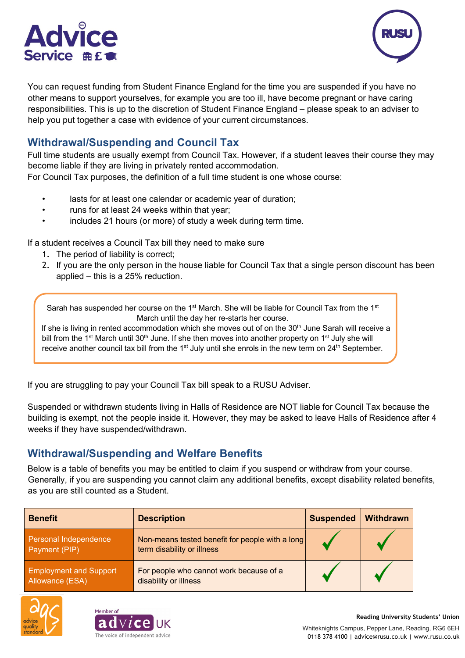



You can request funding from Student Finance England for the time you are suspended if you have no other means to support yourselves, for example you are too ill, have become pregnant or have caring responsibilities. This is up to the discretion of Student Finance England – please speak to an adviser to help you put together a case with evidence of your current circumstances.

## **Withdrawal/Suspending and Council Tax**

Full time students are usually exempt from Council Tax. However, if a student leaves their course they may become liable if they are living in privately rented accommodation.

For Council Tax purposes, the definition of a full time student is one whose course:

- lasts for at least one calendar or academic year of duration;
- runs for at least 24 weeks within that year:
- includes 21 hours (or more) of study a week during term time.

If a student receives a Council Tax bill they need to make sure

- 1. The period of liability is correct;
- 2. If you are the only person in the house liable for Council Tax that a single person discount has been applied – this is a 25% reduction.

Sarah has suspended her course on the 1<sup>st</sup> March. She will be liable for Council Tax from the 1<sup>st</sup> March until the day her re-starts her course.

If she is living in rented accommodation which she moves out of on the 30<sup>th</sup> June Sarah will receive a bill from the 1<sup>st</sup> March until 30<sup>th</sup> June. If she then moves into another property on 1<sup>st</sup> July she will receive another council tax bill from the  $1<sup>st</sup>$  July until she enrols in the new term on  $24<sup>th</sup>$  September.

If you are struggling to pay your Council Tax bill speak to a RUSU Adviser.

Suspended or withdrawn students living in Halls of Residence are NOT liable for Council Tax because the building is exempt, not the people inside it. However, they may be asked to leave Halls of Residence after 4 weeks if they have suspended/withdrawn.

#### **Withdrawal/Suspending and Welfare Benefits**

Below is a table of benefits you may be entitled to claim if you suspend or withdraw from your course. Generally, if you are suspending you cannot claim any additional benefits, except disability related benefits, as you are still counted as a Student.

| <b>Benefit</b>                                   | <b>Description</b>                                                            | <b>Suspended</b> | <b>Withdrawn</b> |
|--------------------------------------------------|-------------------------------------------------------------------------------|------------------|------------------|
| Personal Independence<br>Payment (PIP)           | Non-means tested benefit for people with a long<br>term disability or illness |                  |                  |
| <b>Employment and Support</b><br>Allowance (ESA) | For people who cannot work because of a<br>disability or illness              |                  |                  |



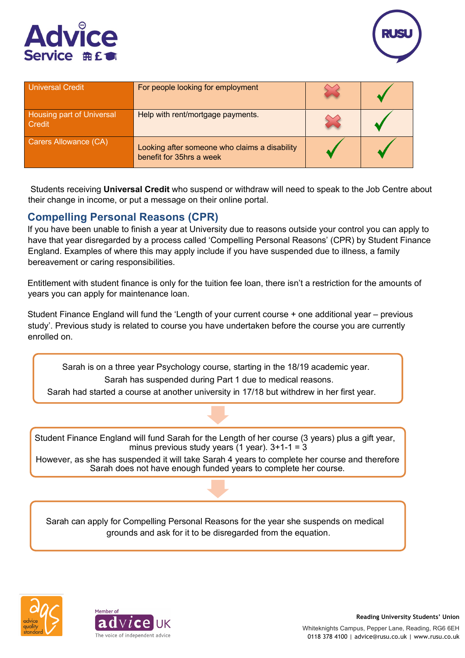



| <b>Universal Credit</b>                    | For people looking for employment                                         |  |
|--------------------------------------------|---------------------------------------------------------------------------|--|
| <b>Housing part of Universal</b><br>Credit | Help with rent/mortgage payments.                                         |  |
| Carers Allowance (CA)                      | Looking after someone who claims a disability<br>benefit for 35hrs a week |  |

Students receiving **Universal Credit** who suspend or withdraw will need to speak to the Job Centre about their change in income, or put a message on their online portal.

### **Compelling Personal Reasons (CPR)**

If you have been unable to finish a year at University due to reasons outside your control you can apply to have that year disregarded by a process called 'Compelling Personal Reasons' (CPR) by Student Finance England. Examples of where this may apply include if you have suspended due to illness, a family bereavement or caring responsibilities.

Entitlement with student finance is only for the tuition fee loan, there isn't a restriction for the amounts of years you can apply for maintenance loan.

Student Finance England will fund the 'Length of your current course + one additional year – previous study'. Previous study is related to course you have undertaken before the course you are currently enrolled on.

Sarah is on a three year Psychology course, starting in the 18/19 academic year. Sarah has suspended during Part 1 due to medical reasons.

Sarah had started a course at another university in 17/18 but withdrew in her first year.

Student Finance England will fund Sarah for the Length of her course (3 years) plus a gift year, minus previous study years  $(1 \text{ year})$ . 3+1-1 = 3

However, as she has suspended it will take Sarah 4 years to complete her course and therefore Sarah does not have enough funded years to complete her course.

Sarah can apply for Compelling Personal Reasons for the year she suspends on medical grounds and ask for it to be disregarded from the equation.